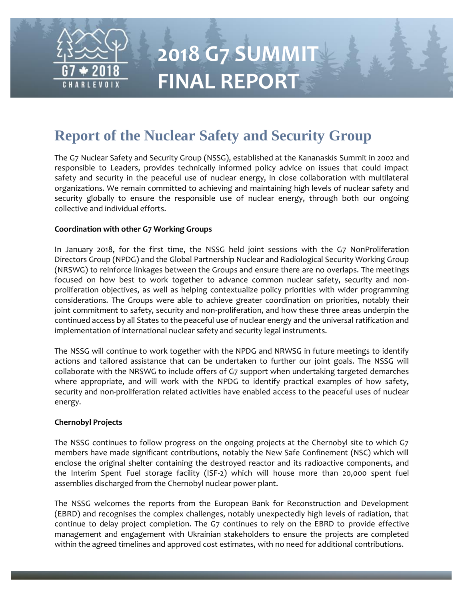

# **Report of the Nuclear Safety and Security Group**

The G7 Nuclear Safety and Security Group (NSSG), established at the Kananaskis Summit in 2002 and responsible to Leaders, provides technically informed policy advice on issues that could impact safety and security in the peaceful use of nuclear energy, in close collaboration with multilateral organizations. We remain committed to achieving and maintaining high levels of nuclear safety and security globally to ensure the responsible use of nuclear energy, through both our ongoing collective and individual efforts.

### **Coordination with other G7 Working Groups**

In January 2018, for the first time, the NSSG held joint sessions with the G7 NonProliferation Directors Group (NPDG) and the Global Partnership Nuclear and Radiological Security Working Group (NRSWG) to reinforce linkages between the Groups and ensure there are no overlaps. The meetings focused on how best to work together to advance common nuclear safety, security and nonproliferation objectives, as well as helping contextualize policy priorities with wider programming considerations. The Groups were able to achieve greater coordination on priorities, notably their joint commitment to safety, security and non-proliferation, and how these three areas underpin the continued access by all States to the peaceful use of nuclear energy and the universal ratification and implementation of international nuclear safety and security legal instruments.

The NSSG will continue to work together with the NPDG and NRWSG in future meetings to identify actions and tailored assistance that can be undertaken to further our joint goals. The NSSG will collaborate with the NRSWG to include offers of G7 support when undertaking targeted demarches where appropriate, and will work with the NPDG to identify practical examples of how safety, security and non-proliferation related activities have enabled access to the peaceful uses of nuclear energy.

#### **Chernobyl Projects**

The NSSG continues to follow progress on the ongoing projects at the Chernobyl site to which G7 members have made significant contributions, notably the New Safe Confinement (NSC) which will enclose the original shelter containing the destroyed reactor and its radioactive components, and the Interim Spent Fuel storage facility (ISF-2) which will house more than 20,000 spent fuel assemblies discharged from the Chernobyl nuclear power plant.

The NSSG welcomes the reports from the European Bank for Reconstruction and Development (EBRD) and recognises the complex challenges, notably unexpectedly high levels of radiation, that continue to delay project completion. The G7 continues to rely on the EBRD to provide effective management and engagement with Ukrainian stakeholders to ensure the projects are completed within the agreed timelines and approved cost estimates, with no need for additional contributions.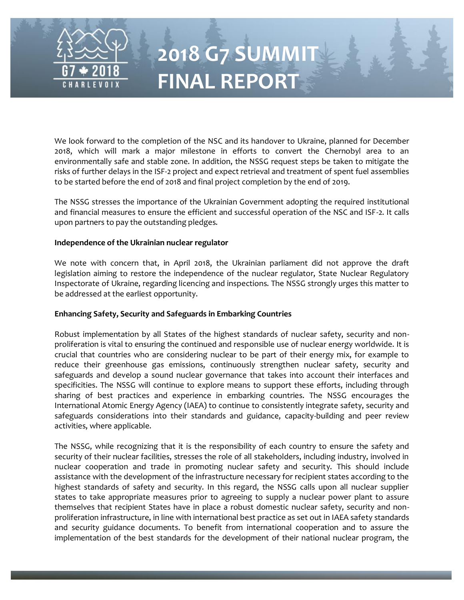

We look forward to the completion of the NSC and its handover to Ukraine, planned for December 2018, which will mark a major milestone in efforts to convert the Chernobyl area to an environmentally safe and stable zone. In addition, the NSSG request steps be taken to mitigate the risks of further delays in the ISF-2 project and expect retrieval and treatment of spent fuel assemblies to be started before the end of 2018 and final project completion by the end of 2019.

The NSSG stresses the importance of the Ukrainian Government adopting the required institutional and financial measures to ensure the efficient and successful operation of the NSC and ISF-2. It calls upon partners to pay the outstanding pledges.

#### **Independence of the Ukrainian nuclear regulator**

We note with concern that, in April 2018, the Ukrainian parliament did not approve the draft legislation aiming to restore the independence of the nuclear regulator, State Nuclear Regulatory Inspectorate of Ukraine, regarding licencing and inspections. The NSSG strongly urges this matter to be addressed at the earliest opportunity.

#### **Enhancing Safety, Security and Safeguards in Embarking Countries**

Robust implementation by all States of the highest standards of nuclear safety, security and nonproliferation is vital to ensuring the continued and responsible use of nuclear energy worldwide. It is crucial that countries who are considering nuclear to be part of their energy mix, for example to reduce their greenhouse gas emissions, continuously strengthen nuclear safety, security and safeguards and develop a sound nuclear governance that takes into account their interfaces and specificities. The NSSG will continue to explore means to support these efforts, including through sharing of best practices and experience in embarking countries. The NSSG encourages the International Atomic Energy Agency (IAEA) to continue to consistently integrate safety, security and safeguards considerations into their standards and guidance, capacity-building and peer review activities, where applicable.

The NSSG, while recognizing that it is the responsibility of each country to ensure the safety and security of their nuclear facilities, stresses the role of all stakeholders, including industry, involved in nuclear cooperation and trade in promoting nuclear safety and security. This should include assistance with the development of the infrastructure necessary for recipient states according to the highest standards of safety and security. In this regard, the NSSG calls upon all nuclear supplier states to take appropriate measures prior to agreeing to supply a nuclear power plant to assure themselves that recipient States have in place a robust domestic nuclear safety, security and nonproliferation infrastructure, in line with international best practice as set out in IAEA safety standards and security guidance documents. To benefit from international cooperation and to assure the implementation of the best standards for the development of their national nuclear program, the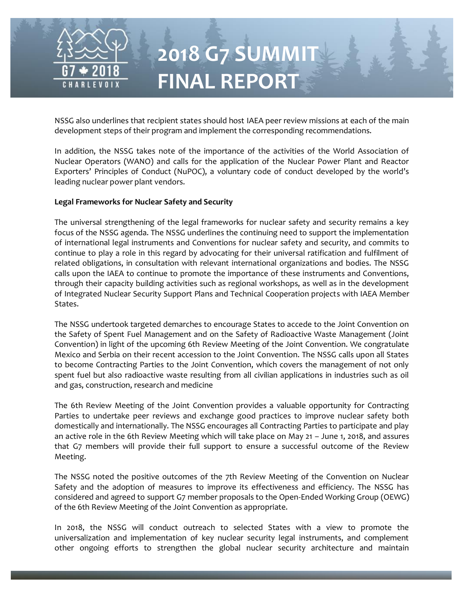

NSSG also underlines that recipient states should host IAEA peer review missions at each of the main development steps of their program and implement the corresponding recommendations.

In addition, the NSSG takes note of the importance of the activities of the World Association of Nuclear Operators (WANO) and calls for the application of the Nuclear Power Plant and Reactor Exporters' Principles of Conduct (NuPOC), a voluntary code of conduct developed by the world's leading nuclear power plant vendors.

### **Legal Frameworks for Nuclear Safety and Security**

The universal strengthening of the legal frameworks for nuclear safety and security remains a key focus of the NSSG agenda. The NSSG underlines the continuing need to support the implementation of international legal instruments and Conventions for nuclear safety and security, and commits to continue to play a role in this regard by advocating for their universal ratification and fulfilment of related obligations, in consultation with relevant international organizations and bodies. The NSSG calls upon the IAEA to continue to promote the importance of these instruments and Conventions, through their capacity building activities such as regional workshops, as well as in the development of Integrated Nuclear Security Support Plans and Technical Cooperation projects with IAEA Member States.

The NSSG undertook targeted demarches to encourage States to accede to the Joint Convention on the Safety of Spent Fuel Management and on the Safety of Radioactive Waste Management (Joint Convention) in light of the upcoming 6th Review Meeting of the Joint Convention. We congratulate Mexico and Serbia on their recent accession to the Joint Convention. The NSSG calls upon all States to become Contracting Parties to the Joint Convention, which covers the management of not only spent fuel but also radioactive waste resulting from all civilian applications in industries such as oil and gas, construction, research and medicine

The 6th Review Meeting of the Joint Convention provides a valuable opportunity for Contracting Parties to undertake peer reviews and exchange good practices to improve nuclear safety both domestically and internationally. The NSSG encourages all Contracting Parties to participate and play an active role in the 6th Review Meeting which will take place on May 21 – June 1, 2018, and assures that G7 members will provide their full support to ensure a successful outcome of the Review Meeting.

The NSSG noted the positive outcomes of the 7th Review Meeting of the Convention on Nuclear Safety and the adoption of measures to improve its effectiveness and efficiency. The NSSG has considered and agreed to support G7 member proposals to the Open-Ended Working Group (OEWG) of the 6th Review Meeting of the Joint Convention as appropriate.

In 2018, the NSSG will conduct outreach to selected States with a view to promote the universalization and implementation of key nuclear security legal instruments, and complement other ongoing efforts to strengthen the global nuclear security architecture and maintain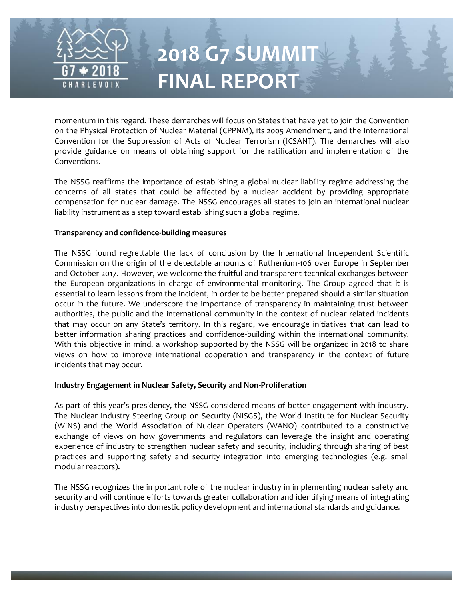

momentum in this regard. These demarches will focus on States that have yet to join the Convention on the Physical Protection of Nuclear Material (CPPNM), its 2005 Amendment, and the International Convention for the Suppression of Acts of Nuclear Terrorism (ICSANT). The demarches will also provide guidance on means of obtaining support for the ratification and implementation of the Conventions.

The NSSG reaffirms the importance of establishing a global nuclear liability regime addressing the concerns of all states that could be affected by a nuclear accident by providing appropriate compensation for nuclear damage. The NSSG encourages all states to join an international nuclear liability instrument as a step toward establishing such a global regime.

#### **Transparency and confidence-building measures**

The NSSG found regrettable the lack of conclusion by the International Independent Scientific Commission on the origin of the detectable amounts of Ruthenium-106 over Europe in September and October 2017. However, we welcome the fruitful and transparent technical exchanges between the European organizations in charge of environmental monitoring. The Group agreed that it is essential to learn lessons from the incident, in order to be better prepared should a similar situation occur in the future. We underscore the importance of transparency in maintaining trust between authorities, the public and the international community in the context of nuclear related incidents that may occur on any State's territory. In this regard, we encourage initiatives that can lead to better information sharing practices and confidence-building within the international community. With this objective in mind, a workshop supported by the NSSG will be organized in 2018 to share views on how to improve international cooperation and transparency in the context of future incidents that may occur.

### **Industry Engagement in Nuclear Safety, Security and Non-Proliferation**

As part of this year's presidency, the NSSG considered means of better engagement with industry. The Nuclear Industry Steering Group on Security (NISGS), the World Institute for Nuclear Security (WINS) and the World Association of Nuclear Operators (WANO) contributed to a constructive exchange of views on how governments and regulators can leverage the insight and operating experience of industry to strengthen nuclear safety and security, including through sharing of best practices and supporting safety and security integration into emerging technologies (e.g. small modular reactors).

The NSSG recognizes the important role of the nuclear industry in implementing nuclear safety and security and will continue efforts towards greater collaboration and identifying means of integrating industry perspectives into domestic policy development and international standards and guidance.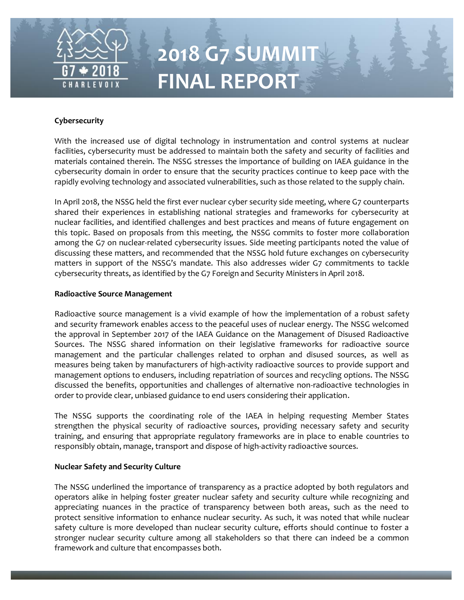

## **Cybersecurity**

With the increased use of digital technology in instrumentation and control systems at nuclear facilities, cybersecurity must be addressed to maintain both the safety and security of facilities and materials contained therein. The NSSG stresses the importance of building on IAEA guidance in the cybersecurity domain in order to ensure that the security practices continue to keep pace with the rapidly evolving technology and associated vulnerabilities, such as those related to the supply chain.

In April 2018, the NSSG held the first ever nuclear cyber security side meeting, where G7 counterparts shared their experiences in establishing national strategies and frameworks for cybersecurity at nuclear facilities, and identified challenges and best practices and means of future engagement on this topic. Based on proposals from this meeting, the NSSG commits to foster more collaboration among the G7 on nuclear-related cybersecurity issues. Side meeting participants noted the value of discussing these matters, and recommended that the NSSG hold future exchanges on cybersecurity matters in support of the NSSG's mandate. This also addresses wider G7 commitments to tackle cybersecurity threats, as identified by the G7 Foreign and Security Ministers in April 2018.

### **Radioactive Source Management**

Radioactive source management is a vivid example of how the implementation of a robust safety and security framework enables access to the peaceful uses of nuclear energy. The NSSG welcomed the approval in September 2017 of the IAEA Guidance on the Management of Disused Radioactive Sources. The NSSG shared information on their legislative frameworks for radioactive source management and the particular challenges related to orphan and disused sources, as well as measures being taken by manufacturers of high-activity radioactive sources to provide support and management options to endusers, including repatriation of sources and recycling options. The NSSG discussed the benefits, opportunities and challenges of alternative non-radioactive technologies in order to provide clear, unbiased guidance to end users considering their application.

The NSSG supports the coordinating role of the IAEA in helping requesting Member States strengthen the physical security of radioactive sources, providing necessary safety and security training, and ensuring that appropriate regulatory frameworks are in place to enable countries to responsibly obtain, manage, transport and dispose of high-activity radioactive sources.

### **Nuclear Safety and Security Culture**

The NSSG underlined the importance of transparency as a practice adopted by both regulators and operators alike in helping foster greater nuclear safety and security culture while recognizing and appreciating nuances in the practice of transparency between both areas, such as the need to protect sensitive information to enhance nuclear security. As such, it was noted that while nuclear safety culture is more developed than nuclear security culture, efforts should continue to foster a stronger nuclear security culture among all stakeholders so that there can indeed be a common framework and culture that encompasses both.